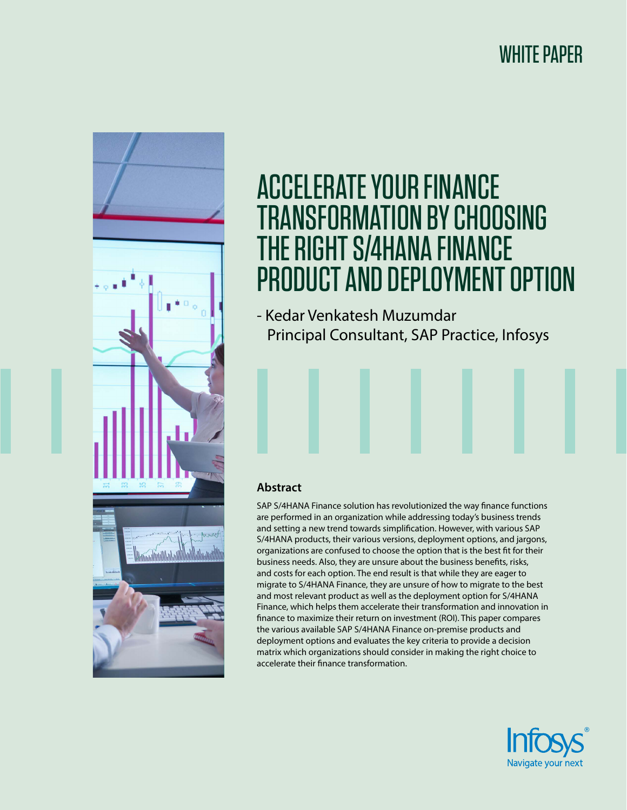## WHITE PAPER



# ACCELERATE YOUR FINANCE TRANSFORMATION BY CHOOSING THE RIGHT S/4HANA FINANCE PRODUCT AND DEPLOYMENT OPTION

- Kedar Venkatesh Muzumdar Principal Consultant, SAP Practice, Infosys

### **Abstract**

SAP S/4HANA Finance solution has revolutionized the way finance functions are performed in an organization while addressing today's business trends and setting a new trend towards simplification. However, with various SAP S/4HANA products, their various versions, deployment options, and jargons, organizations are confused to choose the option that is the best fit for their business needs. Also, they are unsure about the business benefits, risks, and costs for each option. The end result is that while they are eager to migrate to S/4HANA Finance, they are unsure of how to migrate to the best and most relevant product as well as the deployment option for S/4HANA Finance, which helps them accelerate their transformation and innovation in finance to maximize their return on investment (ROI). This paper compares the various available SAP S/4HANA Finance on-premise products and deployment options and evaluates the key criteria to provide a decision matrix which organizations should consider in making the right choice to accelerate their finance transformation.

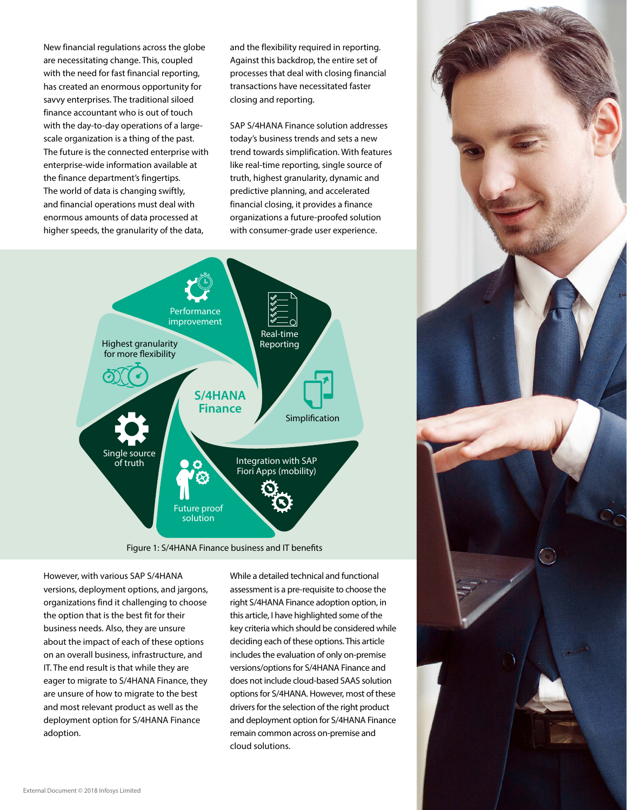New financial regulations across the globe are necessitating change. This, coupled with the need for fast financial reporting, has created an enormous opportunity for savvy enterprises. The traditional siloed finance accountant who is out of touch with the day-to-day operations of a largescale organization is a thing of the past. The future is the connected enterprise with enterprise-wide information available at the finance department's fingertips. The world of data is changing swiftly, and financial operations must deal with enormous amounts of data processed at higher speeds, the granularity of the data,

and the flexibility required in reporting. Against this backdrop, the entire set of processes that deal with closing financial transactions have necessitated faster closing and reporting.

SAP S/4HANA Finance solution addresses today's business trends and sets a new trend towards simplification. With features like real-time reporting, single source of truth, highest granularity, dynamic and predictive planning, and accelerated financial closing, it provides a finance organizations a future-proofed solution with consumer-grade user experience.



Figure 1: S/4HANA Finance business and IT benefits

However, with various SAP S/4HANA versions, deployment options, and jargons, organizations find it challenging to choose the option that is the best fit for their business needs. Also, they are unsure about the impact of each of these options on an overall business, infrastructure, and IT. The end result is that while they are eager to migrate to S/4HANA Finance, they are unsure of how to migrate to the best and most relevant product as well as the deployment option for S/4HANA Finance adoption.

While a detailed technical and functional assessment is a pre-requisite to choose the right S/4HANA Finance adoption option, in this article, I have highlighted some of the key criteria which should be considered while deciding each of these options. This article includes the evaluation of only on-premise versions/options for S/4HANA Finance and does not include cloud-based SAAS solution options for S/4HANA. However, most of these drivers for the selection of the right product and deployment option for S/4HANA Finance remain common across on-premise and cloud solutions.

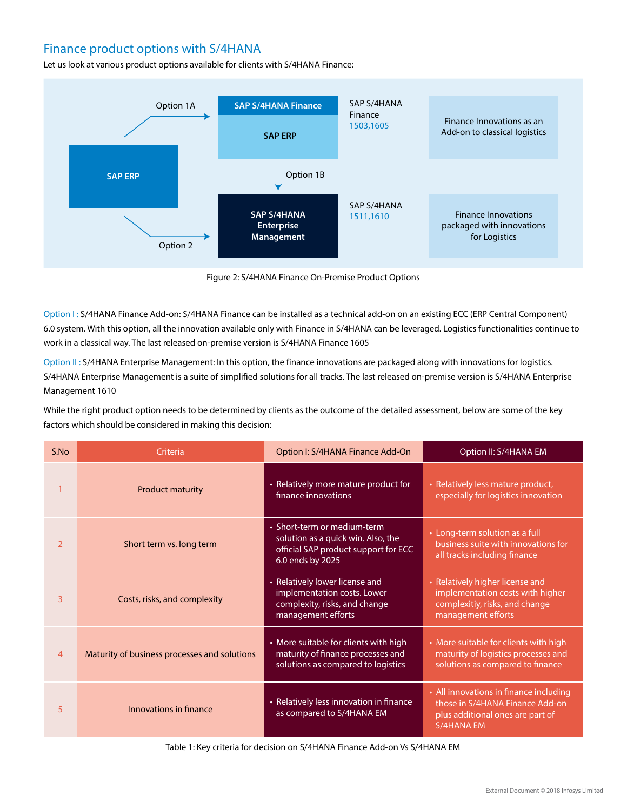## Finance product options with S/4HANA

Let us look at various product options available for clients with S/4HANA Finance:



Figure 2: S/4HANA Finance On-Premise Product Options

Option I: S/4HANA Finance Add-on: S/4HANA Finance can be installed as a technical add-on on an existing ECC (ERP Central Component) 6.0 system. With this option, all the innovation available only with Finance in S/4HANA can be leveraged. Logistics functionalities continue to work in a classical way. The last released on-premise version is S/4HANA Finance 1605

Option II : S/4HANA Enterprise Management: In this option, the finance innovations are packaged along with innovations for logistics. S/4HANA Enterprise Management is a suite of simplified solutions for all tracks. The last released on-premise version is S/4HANA Enterprise Management 1610

While the right product option needs to be determined by clients as the outcome of the detailed assessment, below are some of the key factors which should be considered in making this decision:

| S.No           | Criteria                                     | Option I: S/4HANA Finance Add-On                                                                                                        | Option II: S/4HANA EM                                                                                                              |  |
|----------------|----------------------------------------------|-----------------------------------------------------------------------------------------------------------------------------------------|------------------------------------------------------------------------------------------------------------------------------------|--|
|                | <b>Product maturity</b>                      | • Relatively more mature product for<br>• Relatively less mature product,<br>finance innovations<br>especially for logistics innovation |                                                                                                                                    |  |
| $\overline{2}$ | Short term vs. long term                     | • Short-term or medium-term<br>solution as a quick win. Also, the<br>official SAP product support for ECC<br>6.0 ends by 2025           | • Long-term solution as a full<br>business suite with innovations for<br>all tracks including finance                              |  |
| 3              | Costs, risks, and complexity                 | • Relatively lower license and<br>implementation costs. Lower<br>complexity, risks, and change<br>management efforts                    | • Relatively higher license and<br>implementation costs with higher<br>complexitiy, risks, and change<br>management efforts        |  |
| 4              | Maturity of business processes and solutions | • More suitable for clients with high<br>maturity of finance processes and<br>solutions as compared to logistics                        | • More suitable for clients with high<br>maturity of logistics processes and<br>solutions as compared to finance                   |  |
| 5              | Innovations in finance                       | • Relatively less innovation in finance<br>as compared to S/4HANA EM                                                                    | • All innovations in finance including<br>those in S/4HANA Finance Add-on<br>plus additional ones are part of<br><b>S/4HANA EM</b> |  |

Table 1: Key criteria for decision on S/4HANA Finance Add-on Vs S/4HANA EM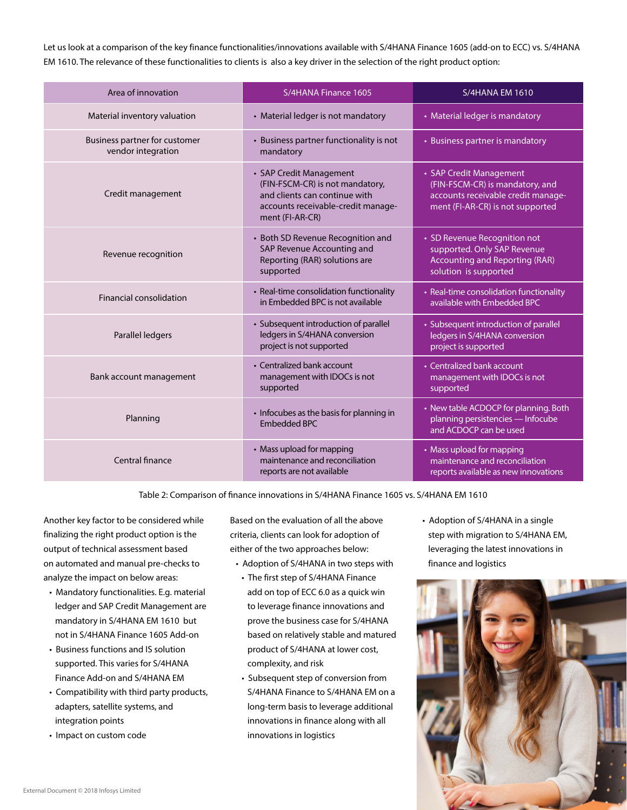Let us look at a comparison of the key finance functionalities/innovations available with S/4HANA Finance 1605 (add-on to ECC) vs. S/4HANA EM 1610. The relevance of these functionalities to clients is also a key driver in the selection of the right product option:

| Area of innovation                                  | S/4HANA Finance 1605                                                                                                                                 | <b>S/4HANA EM 1610</b>                                                                                                               |  |
|-----------------------------------------------------|------------------------------------------------------------------------------------------------------------------------------------------------------|--------------------------------------------------------------------------------------------------------------------------------------|--|
| Material inventory valuation                        | • Material ledger is not mandatory                                                                                                                   | • Material ledger is mandatory                                                                                                       |  |
| Business partner for customer<br>vendor integration | • Business partner functionality is not<br>mandatory                                                                                                 | • Business partner is mandatory                                                                                                      |  |
| Credit management                                   | • SAP Credit Management<br>(FIN-FSCM-CR) is not mandatory,<br>and clients can continue with<br>accounts receivable-credit manage-<br>ment (FI-AR-CR) | • SAP Credit Management<br>(FIN-FSCM-CR) is mandatory, and<br>accounts receivable credit manage-<br>ment (FI-AR-CR) is not supported |  |
| Revenue recognition                                 | • Both SD Revenue Recognition and<br>SAP Revenue Accounting and<br>Reporting (RAR) solutions are<br>supported                                        | • SD Revenue Recognition not<br>supported. Only SAP Revenue<br><b>Accounting and Reporting (RAR)</b><br>solution is supported        |  |
| <b>Financial consolidation</b>                      | • Real-time consolidation functionality<br>in Embedded BPC is not available                                                                          | • Real-time consolidation functionality<br>available with Embedded BPC                                                               |  |
| Parallel ledgers                                    | • Subsequent introduction of parallel<br>ledgers in S/4HANA conversion<br>project is not supported                                                   | • Subsequent introduction of parallel<br>ledgers in S/4HANA conversion<br>project is supported                                       |  |
| Bank account management                             | • Centralized bank account<br>management with IDOCs is not<br>supported                                                                              | • Centralized bank account<br>management with IDOCs is not<br>supported                                                              |  |
| Planning                                            | • Infocubes as the basis for planning in<br><b>Embedded BPC</b>                                                                                      | • New table ACDOCP for planning. Both<br>planning persistencies - Infocube<br>and ACDOCP can be used                                 |  |
| Central finance                                     | • Mass upload for mapping<br>maintenance and reconciliation<br>reports are not available                                                             | • Mass upload for mapping<br>maintenance and reconciliation<br>reports available as new innovations                                  |  |

Table 2: Comparison of finance innovations in S/4HANA Finance 1605 vs. S/4HANA EM 1610

Another key factor to be considered while finalizing the right product option is the output of technical assessment based on automated and manual pre-checks to analyze the impact on below areas:

- Mandatory functionalities. E.g. material ledger and SAP Credit Management are mandatory in S/4HANA EM 1610 but not in S/4HANA Finance 1605 Add-on
- Business functions and IS solution supported. This varies for S/4HANA Finance Add-on and S/4HANA EM
- Compatibility with third party products, adapters, satellite systems, and integration points
- Impact on custom code

Based on the evaluation of all the above criteria, clients can look for adoption of either of the two approaches below:

- Adoption of S/4HANA in two steps with
- The first step of S/4HANA Finance add on top of ECC 6.0 as a quick win to leverage finance innovations and prove the business case for S/4HANA based on relatively stable and matured product of S/4HANA at lower cost, complexity, and risk
- Subsequent step of conversion from S/4HANA Finance to S/4HANA EM on a long-term basis to leverage additional innovations in finance along with all innovations in logistics

• Adoption of S/4HANA in a single step with migration to S/4HANA EM, leveraging the latest innovations in finance and logistics

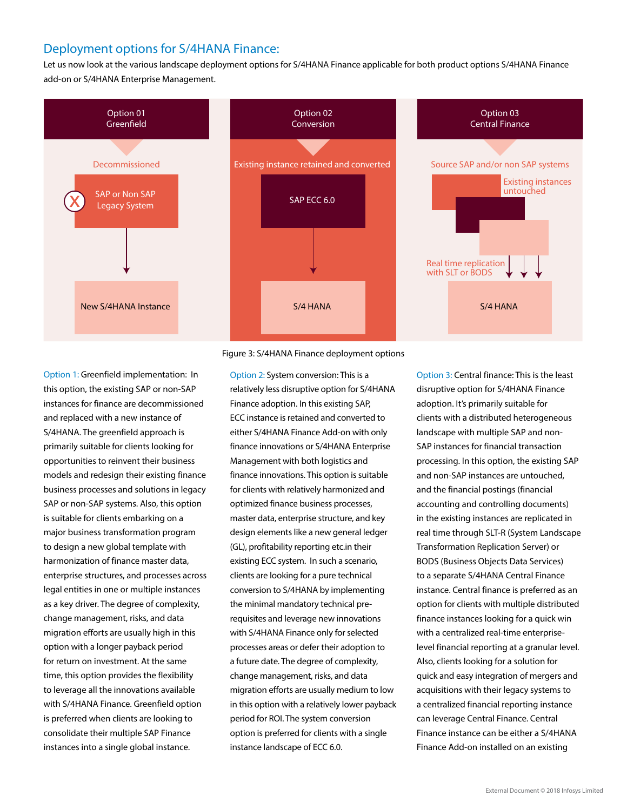## Deployment options for S/4HANA Finance:

Let us now look at the various landscape deployment options for S/4HANA Finance applicable for both product options S/4HANA Finance add-on or S/4HANA Enterprise Management.



#### Figure 3: S/4HANA Finance deployment options

Option 1: Greenfield implementation: In this option, the existing SAP or non-SAP instances for finance are decommissioned and replaced with a new instance of S/4HANA. The greenfield approach is primarily suitable for clients looking for opportunities to reinvent their business models and redesign their existing finance business processes and solutions in legacy SAP or non-SAP systems. Also, this option is suitable for clients embarking on a major business transformation program to design a new global template with harmonization of finance master data, enterprise structures, and processes across legal entities in one or multiple instances as a key driver. The degree of complexity, change management, risks, and data migration efforts are usually high in this option with a longer payback period for return on investment. At the same time, this option provides the flexibility to leverage all the innovations available with S/4HANA Finance. Greenfield option is preferred when clients are looking to consolidate their multiple SAP Finance instances into a single global instance.

Option 2: System conversion: This is a relatively less disruptive option for S/4HANA Finance adoption. In this existing SAP, ECC instance is retained and converted to either S/4HANA Finance Add-on with only finance innovations or S/4HANA Enterprise Management with both logistics and finance innovations. This option is suitable for clients with relatively harmonized and optimized finance business processes, master data, enterprise structure, and key design elements like a new general ledger (GL), profitability reporting etc.in their existing ECC system. In such a scenario, clients are looking for a pure technical conversion to S/4HANA by implementing the minimal mandatory technical prerequisites and leverage new innovations with S/4HANA Finance only for selected processes areas or defer their adoption to a future date. The degree of complexity, change management, risks, and data migration efforts are usually medium to low in this option with a relatively lower payback period for ROI. The system conversion option is preferred for clients with a single instance landscape of ECC 6.0.

Option 3: Central finance: This is the least disruptive option for S/4HANA Finance adoption. It's primarily suitable for clients with a distributed heterogeneous landscape with multiple SAP and non-SAP instances for financial transaction processing. In this option, the existing SAP and non-SAP instances are untouched, and the financial postings (financial accounting and controlling documents) in the existing instances are replicated in real time through SLT-R (System Landscape Transformation Replication Server) or BODS (Business Objects Data Services) to a separate S/4HANA Central Finance instance. Central finance is preferred as an option for clients with multiple distributed finance instances looking for a quick win with a centralized real-time enterpriselevel financial reporting at a granular level. Also, clients looking for a solution for quick and easy integration of mergers and acquisitions with their legacy systems to a centralized financial reporting instance can leverage Central Finance. Central Finance instance can be either a S/4HANA Finance Add-on installed on an existing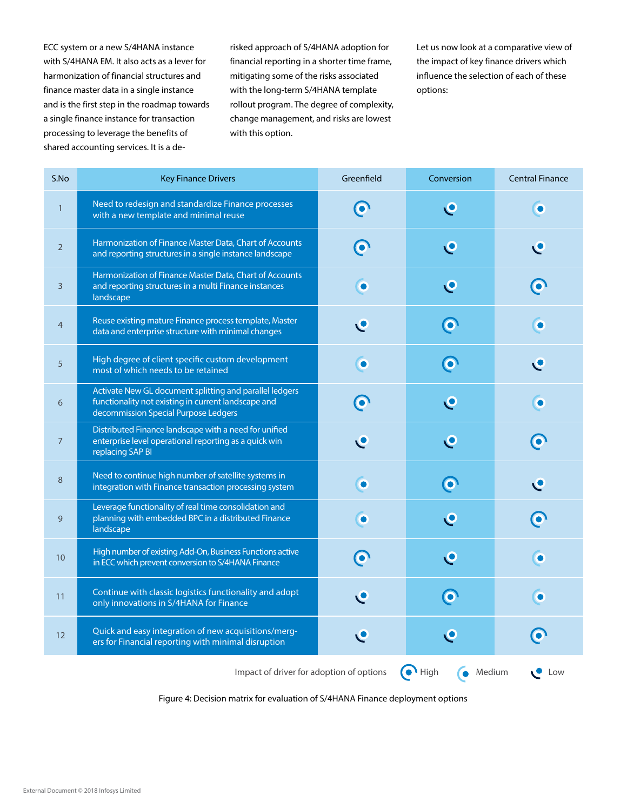ECC system or a new S/4HANA instance with S/4HANA EM. It also acts as a lever for harmonization of financial structures and finance master data in a single instance and is the first step in the roadmap towards a single finance instance for transaction processing to leverage the benefits of shared accounting services. It is a derisked approach of S/4HANA adoption for financial reporting in a shorter time frame, mitigating some of the risks associated with the long-term S/4HANA template rollout program. The degree of complexity, change management, and risks are lowest with this option.

Let us now look at a comparative view of the impact of key finance drivers which influence the selection of each of these options:

| S.No                                                                                     | <b>Key Finance Drivers</b>                                                                                                                             | Greenfield   | Conversion              | <b>Central Finance</b> |  |  |
|------------------------------------------------------------------------------------------|--------------------------------------------------------------------------------------------------------------------------------------------------------|--------------|-------------------------|------------------------|--|--|
| $\mathbf{1}$                                                                             | Need to redesign and standardize Finance processes<br>with a new template and minimal reuse                                                            | $\bullet$    | $\mathbf{C}$            | $\bullet$              |  |  |
| $\overline{2}$                                                                           | Harmonization of Finance Master Data, Chart of Accounts<br>and reporting structures in a single instance landscape                                     | $\bullet$    | $\mathbf{C}$            | L                      |  |  |
| 3                                                                                        | Harmonization of Finance Master Data, Chart of Accounts<br>and reporting structures in a multi Finance instances<br>landscape                          | $\bullet$    | $\mathbf{C}$            | $\mathbf O$            |  |  |
| $\overline{4}$                                                                           | Reuse existing mature Finance process template, Master<br>data and enterprise structure with minimal changes                                           | $\mathbf{C}$ | $\overline{\mathbf{o}}$ | $\bullet$              |  |  |
| 5                                                                                        | High degree of client specific custom development<br>most of which needs to be retained                                                                | $\bullet$    | $\overline{\mathbf{o}}$ | $\bullet$              |  |  |
| 6                                                                                        | Activate New GL document splitting and parallel ledgers<br>functionality not existing in current landscape and<br>decommission Special Purpose Ledgers | $\bullet$    | $\mathbf{C}$            | $\bullet$              |  |  |
| $\overline{7}$                                                                           | Distributed Finance landscape with a need for unified<br>enterprise level operational reporting as a quick win<br>replacing SAP BI                     | $\mathbf{C}$ | $\mathbf{C}$            | $\bullet$              |  |  |
| 8                                                                                        | Need to continue high number of satellite systems in<br>integration with Finance transaction processing system                                         | $\bullet$    | $\bullet$               | $\mathbf{C}$           |  |  |
| 9                                                                                        | Leverage functionality of real time consolidation and<br>planning with embedded BPC in a distributed Finance<br>landscape                              | $\bullet$    | $\mathbf{C}$            |                        |  |  |
| 10                                                                                       | High number of existing Add-On, Business Functions active<br>in ECC which prevent conversion to S/4HANA Finance                                        | $\bullet$    | $\mathbf{C}$            |                        |  |  |
| 11                                                                                       | Continue with classic logistics functionality and adopt<br>only innovations in S/4HANA for Finance                                                     | $\mathbf C$  | $\overline{\mathbf{o}}$ | $\bullet$              |  |  |
| 12                                                                                       | Quick and easy integration of new acquisitions/merg-<br>ers for Financial reporting with minimal disruption                                            | L            | $\mathbf{C}$            |                        |  |  |
| $\bullet$ High<br>Impact of driver for adoption of options<br>Medium<br>Low<br>$\bullet$ |                                                                                                                                                        |              |                         |                        |  |  |

Figure 4: Decision matrix for evaluation of S/4HANA Finance deployment options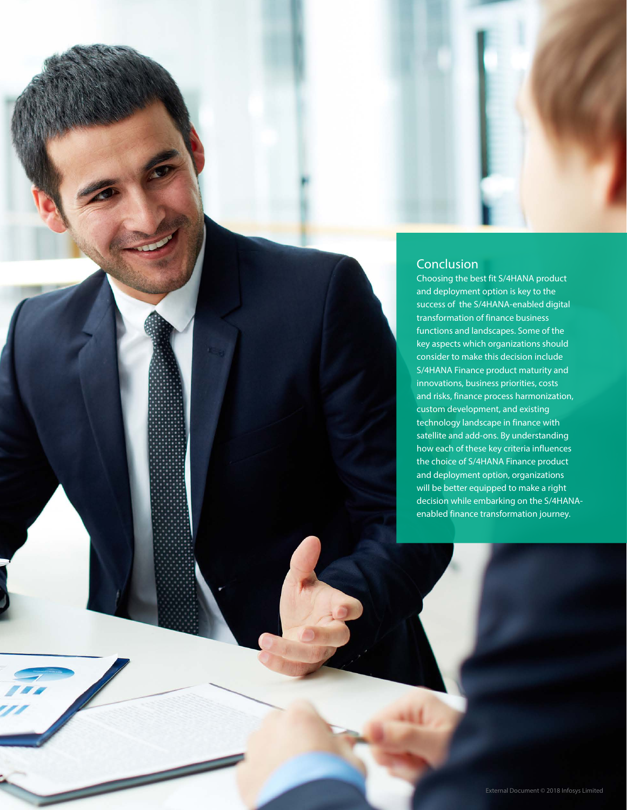## Conclusion

Choosing the best fit S/4HANA product and deployment option is key to the success of the S/4HANA-enabled digital transformation of finance business functions and landscapes. Some of the key aspects which organizations should consider to make this decision include S/4HANA Finance product maturity and innovations, business priorities, costs and risks, finance process harmonization, custom development, and existing technology landscape in finance with satellite and add-ons. By understanding how each of these key criteria influences the choice of S/4HANA Finance product and deployment option, organizations will be better equipped to make a right decision while embarking on the S/4HANAenabled finance transformation journey.